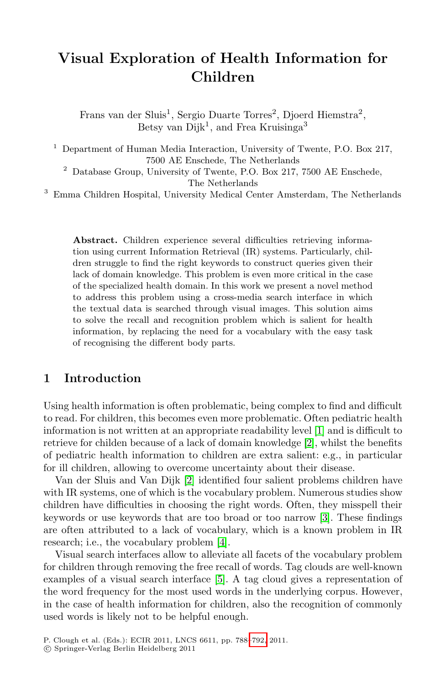# **Visual Exploration of Health Information for Children**

Frans van der Sluis<sup>1</sup>, Sergio Duarte Torres<sup>2</sup>, Djoerd Hiemstra<sup>2</sup>, Betsy van  $Diik<sup>1</sup>$ , and Frea Kruisinga<sup>3</sup>

<sup>1</sup> Department of Human Media Interaction, University of Twente, P.O. Box 217, 7500 AE Enschede, The Netherlands

<sup>2</sup> Database Group, University of Twente, P.O. Box 217, 7500 AE Enschede, The Netherlands

<span id="page-0-0"></span> $^3\,$  Emma Children Hospital, University Medical Center Amsterdam, The Netherlands

**Abstract.** Children experience several difficulties retrieving information using current Information Retrieval (IR) systems. Particularly, children struggle to find the right keywords to construct queries given their lack of domain knowledge. This problem is even more critical in the case of the specialized health domain. In this work we present a novel method to address this problem using a cross-media search interface in which the textual data is searched through visual images. This solution aims to solve the recall and recognition problem which is salient for health information, by replacing the need f[or](#page-3-0) a vocabulary with the easy task of recognising the different body p[art](#page-3-1)s.

# **1 Intro[du](#page-3-1)ction**

Using health information is often problematic, being complex to find and difficult to read. For children, this becomes even mo[re](#page-3-2) problematic. Often pediatric health information is not written at an appropriate readability level [1] and is difficult to retrieve for childen [bec](#page-3-3)ause of a lack of domain knowledge [2], whilst the benefits of pediatric health information to children are extra salient: e.g., in particular for ill children, allowing to overcome uncertainty about their disease.

Van der Sluis an[d](#page-3-4) Van Dijk [2] identified four salient problems children have with IR systems, one of which is the vocabulary problem. Numerous studies show children have difficulties in choosing the right words. Often, they misspell their keywords or use keywords that are too broad or too narrow [3]. These findings are often attributed to a lack of vocabulary, which is a known problem in IR research; i.e., the vocabul[ary p](#page-4-0)roblem [4].

Visual search interfaces allow to alleviate all facets of the vocabulary problem for children through removing the free recall of words. Tag clouds are well-known examples of a visual search interface [5]. A tag cloud gives a representation of the word frequency for the most used words in the underlying corpus. However, in the case of health information for children, also the recognition of commonly used words is likely not to be helpful enough.

P. Clough et al. (Eds.): ECIR 2011, LNCS 6611, pp. 788–792, 2011.

<sup>-</sup>c Springer-Verlag Berlin Heidelberg 2011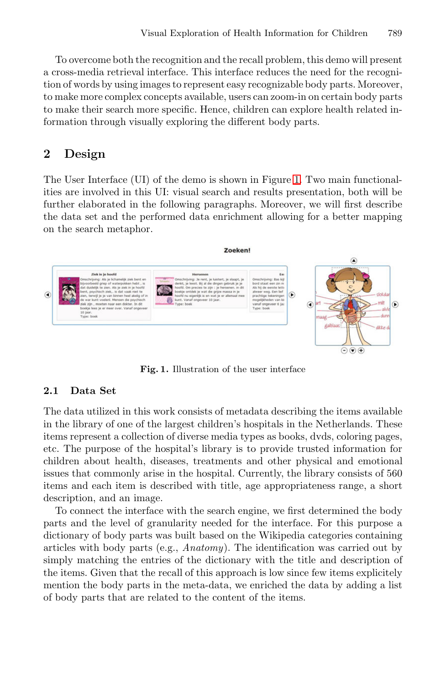To overcome both the recognition and the recall problem, this demo will present a cross-media retrieval interface. This interface reduces the need for the recognition of words by using images to repre[se](#page-1-0)nt easy recognizable body parts. Moreover, to make more complex concepts available, users can zoom-in on certain body parts to make their search more specific. Hence, children can explore health related information through visually exploring the different body parts.

# <span id="page-1-0"></span>**2 Design**

The User Interface (UI) of the demo is shown in Figure 1. Two main functionalities are involved in this UI: visual search and results presentation, both will be further elaborated in the following paragraphs. Moreover, we will first describe the data set and the performed data enrichment allowing for a better mapping on the search metaphor.



**Fig. 1.** Illustration of the user interface

### **2.1 Data Set**

The data utilized in this work consists of metadata describing the items available in the library of one of the largest children's hospitals in the Netherlands. These items represent a collection of diverse media types as books, dvds, coloring pages, etc. The purpose of the hospital's library is to provide trusted information for children about health, diseases, treatments and other physical and emotional issues that commonly arise in the hospital. Currently, the library consists of 560 items and each item is described with title, age appropriateness range, a short description, and an image.

To connect the interface with the search engine, we first determined the body parts and the level of granularity needed for the interface. For this purpose a dictionary of body parts was built based on the Wikipedia categories containing articles with body parts (e.g., *Anatomy*). The identification was carried out by simply matching the entries of the dictionary with the title and description of the items. Given that the recall of this approach is low since few items explicitely mention the body parts in the meta-data, we enriched the data by adding a list of body parts that are related to the content of the items.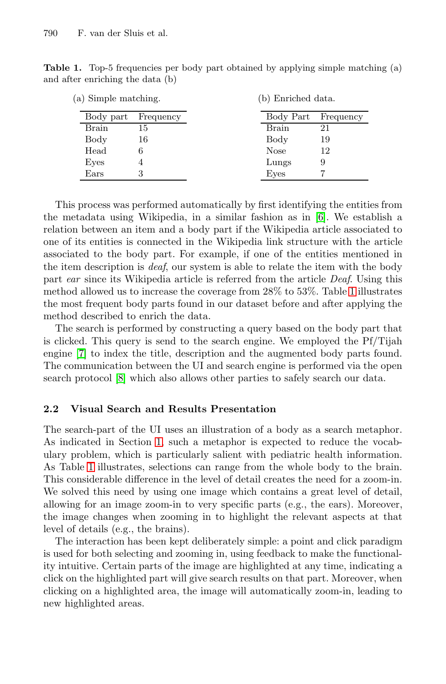#### <span id="page-2-0"></span>790 F. van der Sluis et al.

**Table 1.** Top-5 frequencies per body part obtained by applying simple matching (a) and after enriching the data (b)

| (a) Simple matching. |           | (b) Enriched data. |             |           |
|----------------------|-----------|--------------------|-------------|-----------|
| Body part            | Frequency |                    | Body Part   | Frequency |
| <b>Brain</b>         | 15        |                    | Brain       | 21        |
| Body                 | 16        |                    | Body        | 19        |
| Head                 | 6         |                    | <b>Nose</b> | 12        |
| Eyes                 | 4         |                    | Lungs       | 9         |
| Ears                 |           |                    | Eyes        |           |

This process was performed automatically by [firs](#page-2-0)t identifying the entities from the metadata using Wikipedia, in a similar fashion as in [6]. We establish a relation between an item and a body part if the Wikipedia article associated to one of its entities is connected in the Wikipedia link structure with the article associated to the body part. For example, if one of the entities mentioned in the item description is *deaf*, our system is able to relate the item with the body part *ear* since its Wikipedia article is referred from the article *Deaf*. Using this method allowed us to increase the coverage from 28% to 53%. Table 1 illustrates the most frequent body parts found in our dataset before and after applying the method described to enrich the data.

The search is performed by constructing a query based on the body part that is cli[cke](#page-0-0)d. This query is send to the search engine. We employed the Pf/Tijah engine [7] to index the title, description and the augmented body parts found. The communication between the UI and search engine is performed via the open search protocol [8] which also allows other parties to safely search our data.

### **2.2 Visual Search and Results Presentation**

The search-part of the UI uses an illustration of a body as a search metaphor. As indicated in Section 1, such a metaphor is expected to reduce the vocabulary problem, which is particularly salient with pediatric health information. As Table 1 illustrates, selections can range from the whole body to the brain. This considerable difference in the level of detail creates the need for a zoom-in. We solved this need by using one image which contains a great level of detail, allowing for an image zoom-in to very specific parts (e.g., the ears). Moreover, the image changes when zooming in to highlight the relevant aspects at that level of details (e.g., the brains).

The interaction has been kept deliberately simple: a point and click paradigm is used for both selecting and zooming in, using feedback to make the functionality intuitive. Certain parts of the image are highlighted at any time, indicating a click on the highlighted part will give search results on that part. Moreover, when clicking on a highlighted area, the image will automatically zoom-in, leading to new highlighted areas.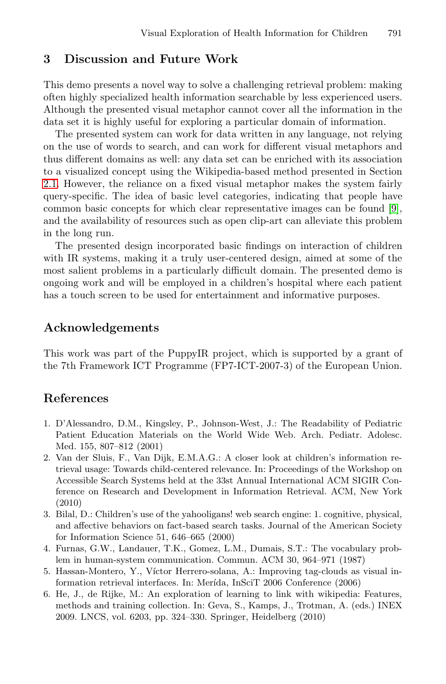# **3 Discussion and Future Work**

This demo presents a novel way to solve a challenging retrieval problem: making often highly specialized health information searchable by less experienced users. Although the presented visual metaphor cannot cover all [th](#page-4-1)e information in the data set it is highly useful for exploring a particular domain of information.

The presented system can work for data written in any language, not relying on the use of words to search, and can work for different visual metaphors and thus different domains as well: any data set can be enriched with its association to a visualized concept using the Wikipedia-based method presented in Section 2.1. However, the reliance on a fixed visual metaphor makes the system fairly query-specific. The idea of basic level categories, indicating that people have common basic concepts for which clear representative images can be found [9], and the availability of resources such as open clip-art can alleviate this problem in the long run.

The presented design incorporated basic findings on interaction of children with IR systems, making it a truly user-centered design, aimed at some of the most salient problems in a particularly difficult domain. The presented demo is ongoing work and will be employed in a children's hospital where each patient has a touch screen to be used for entertainment and informative purposes.

# <span id="page-3-0"></span>**Acknowledgements**

<span id="page-3-1"></span>This work was part of the PuppyIR project, which is supported by a grant of the 7th Framework ICT Programme (FP7-ICT-2007-3) of the European Union.

# <span id="page-3-2"></span>**References**

- 1. D'Alessandro, D.M., Kingsley, P., Johnson-West, J.: The Readability of Pediatric Patient Education Materials on the World Wide Web. Arch. Pediatr. Adolesc. Med. 155, 807–812 (2001)
- <span id="page-3-4"></span><span id="page-3-3"></span>2. Van der Sluis, F., Van Dijk, E.M.A.G.: A closer look at children's information retrieval usage: Towards child-centered relevance. In: Proceedings of the Workshop on Accessible Search Systems held at the 33st Annual International ACM SIGIR Conference on Research and Development in Information Retrieval. ACM, New York (2010)
- 3. Bilal, D.: Children's use of the yahooligans! web search engine: 1. cognitive, physical, and affective behaviors on fact-based search tasks. Journal of the American Society for Information Science 51, 646–665 (2000)
- 4. Furnas, G.W., Landauer, T.K., Gomez, L.M., Dumais, S.T.: The vocabulary problem in human-system communication. Commun. ACM 30, 964–971 (1987)
- 5. Hassan-Montero, Y., Víctor Herrero-solana, A.: Improving tag-clouds as visual information retrieval interfaces. In: Merída, InSciT 2006 Conference (2006)
- 6. He, J., de Rijke, M.: An exploration of learning to link with wikipedia: Features, methods and training collection. In: Geva, S., Kamps, J., Trotman, A. (eds.) INEX 2009. LNCS, vol. 6203, pp. 324–330. Springer, Heidelberg (2010)